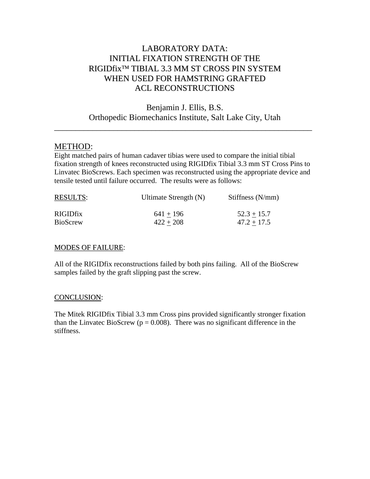## LABORATORY DATA: INITIAL FIXATION STRENGTH OF THE RIGIDfix™ TIBIAL 3.3 MM ST CROSS PIN SYSTEM WHEN USED FOR HAMSTRING GRAFTED ACL RECONSTRUCTIONS

Benjamin J. Ellis, B.S. Orthopedic Biomechanics Institute, Salt Lake City, Utah

\_\_\_\_\_\_\_\_\_\_\_\_\_\_\_\_\_\_\_\_\_\_\_\_\_\_\_\_\_\_\_\_\_\_\_\_\_\_\_\_\_\_\_\_\_\_\_\_\_\_\_\_\_\_\_\_\_\_\_\_\_

## METHOD:

Eight matched pairs of human cadaver tibias were used to compare the initial tibial fixation strength of knees reconstructed using RIGIDfix Tibial 3.3 mm ST Cross Pins to Linvatec BioScrews. Each specimen was reconstructed using the appropriate device and tensile tested until failure occurred. The results were as follows:

| <b>RESULTS:</b> | Ultimate Strength (N) | Stiffness $(N/mm)$ |
|-----------------|-----------------------|--------------------|
| <b>RIGIDfix</b> | $641 + 196$           | $52.3 + 15.7$      |
| <b>BioScrew</b> | $422 + 208$           | $47.2 + 17.5$      |

## **MODES OF FAILURE:**

All of the RIGIDfix reconstructions failed by both pins failing. All of the BioScrew samples failed by the graft slipping past the screw.

## CONCLUSION:

The Mitek RIGIDfix Tibial 3.3 mm Cross pins provided significantly stronger fixation than the Linvatec BioScrew ( $p = 0.008$ ). There was no significant difference in the stiffness.